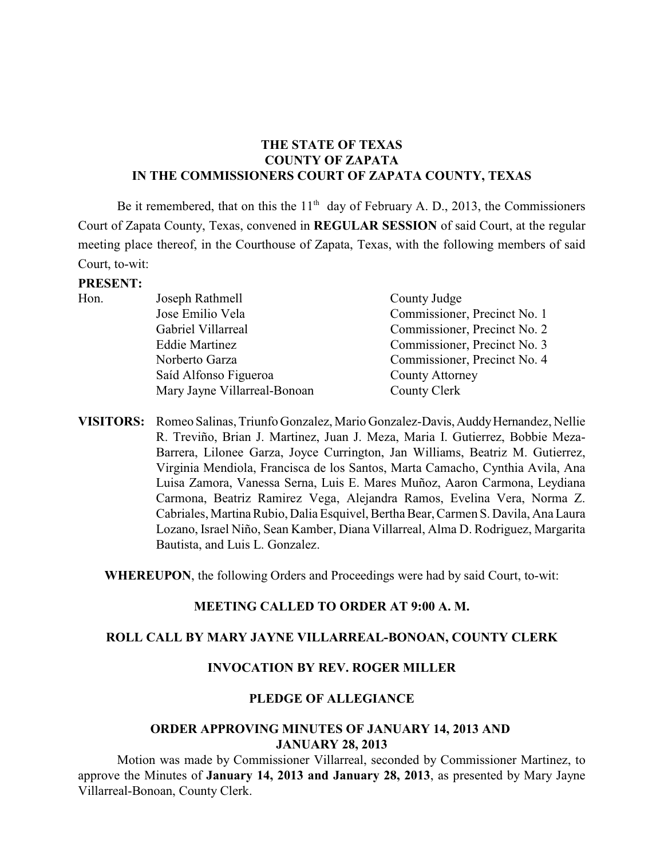# **THE STATE OF TEXAS COUNTY OF ZAPATA IN THE COMMISSIONERS COURT OF ZAPATA COUNTY, TEXAS**

Be it remembered, that on this the  $11<sup>th</sup>$  day of February A. D., 2013, the Commissioners Court of Zapata County, Texas, convened in **REGULAR SESSION** of said Court, at the regular meeting place thereof, in the Courthouse of Zapata, Texas, with the following members of said Court, to-wit:

#### **PRESENT:**

| Hon. | Joseph Rathmell              | County Judge                 |
|------|------------------------------|------------------------------|
|      | Jose Emilio Vela             | Commissioner, Precinct No. 1 |
|      | Gabriel Villarreal           | Commissioner, Precinct No. 2 |
|      | <b>Eddie Martinez</b>        | Commissioner, Precinct No. 3 |
|      | Norberto Garza               | Commissioner, Precinct No. 4 |
|      | Saíd Alfonso Figueroa        | County Attorney              |
|      | Mary Jayne Villarreal-Bonoan | County Clerk                 |
|      |                              |                              |

**VISITORS:** Romeo Salinas, Triunfo Gonzalez, Mario Gonzalez-Davis, Auddy Hernandez, Nellie R. Treviño, Brian J. Martinez, Juan J. Meza, Maria I. Gutierrez, Bobbie Meza-Barrera, Lilonee Garza, Joyce Currington, Jan Williams, Beatriz M. Gutierrez, Virginia Mendiola, Francisca de los Santos, Marta Camacho, Cynthia Avila, Ana Luisa Zamora, Vanessa Serna, Luis E. Mares Muñoz, Aaron Carmona, Leydiana Carmona, Beatriz Ramirez Vega, Alejandra Ramos, Evelina Vera, Norma Z. Cabriales, Martina Rubio, Dalia Esquivel, Bertha Bear, Carmen S. Davila, Ana Laura Lozano, Israel Niño, Sean Kamber, Diana Villarreal, Alma D. Rodriguez, Margarita Bautista, and Luis L. Gonzalez.

**WHEREUPON**, the following Orders and Proceedings were had by said Court, to-wit:

#### **MEETING CALLED TO ORDER AT 9:00 A. M.**

#### **ROLL CALL BY MARY JAYNE VILLARREAL-BONOAN, COUNTY CLERK**

#### **INVOCATION BY REV. ROGER MILLER**

## **PLEDGE OF ALLEGIANCE**

## **ORDER APPROVING MINUTES OF JANUARY 14, 2013 AND JANUARY 28, 2013**

Motion was made by Commissioner Villarreal, seconded by Commissioner Martinez, to approve the Minutes of **January 14, 2013 and January 28, 2013**, as presented by Mary Jayne Villarreal-Bonoan, County Clerk.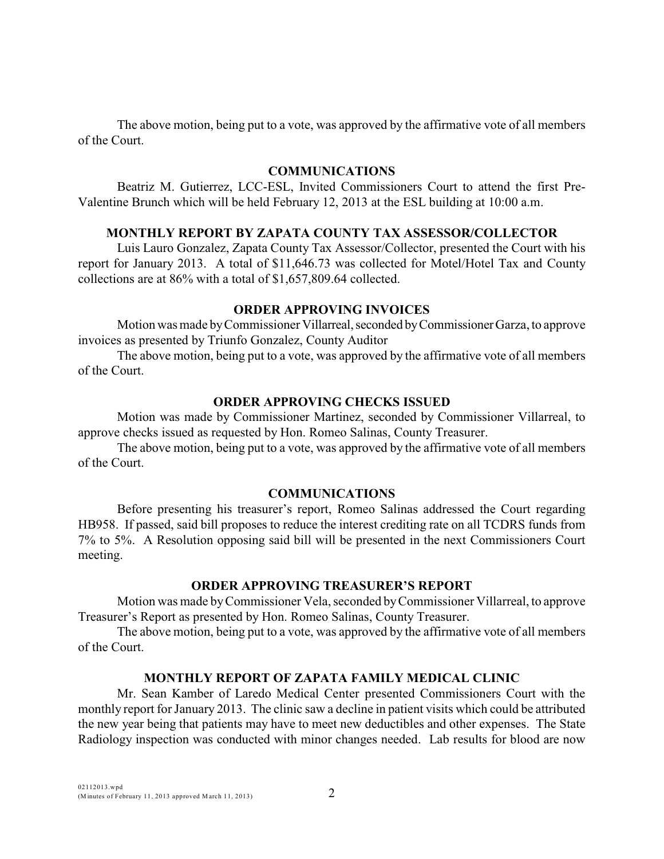The above motion, being put to a vote, was approved by the affirmative vote of all members of the Court.

## **COMMUNICATIONS**

Beatriz M. Gutierrez, LCC-ESL, Invited Commissioners Court to attend the first Pre-Valentine Brunch which will be held February 12, 2013 at the ESL building at 10:00 a.m.

# **MONTHLY REPORT BY ZAPATA COUNTY TAX ASSESSOR/COLLECTOR**

Luis Lauro Gonzalez, Zapata County Tax Assessor/Collector, presented the Court with his report for January 2013. A total of \$11,646.73 was collected for Motel/Hotel Tax and County collections are at 86% with a total of \$1,657,809.64 collected.

### **ORDER APPROVING INVOICES**

Motion was made by Commissioner Villarreal, seconded by Commissioner Garza, to approve invoices as presented by Triunfo Gonzalez, County Auditor

The above motion, being put to a vote, was approved by the affirmative vote of all members of the Court.

# **ORDER APPROVING CHECKS ISSUED**

Motion was made by Commissioner Martinez, seconded by Commissioner Villarreal, to approve checks issued as requested by Hon. Romeo Salinas, County Treasurer.

The above motion, being put to a vote, was approved by the affirmative vote of all members of the Court.

### **COMMUNICATIONS**

Before presenting his treasurer's report, Romeo Salinas addressed the Court regarding HB958. If passed, said bill proposes to reduce the interest crediting rate on all TCDRS funds from 7% to 5%. A Resolution opposing said bill will be presented in the next Commissioners Court meeting.

### **ORDER APPROVING TREASURER'S REPORT**

Motion was made by Commissioner Vela, seconded byCommissioner Villarreal, to approve Treasurer's Report as presented by Hon. Romeo Salinas, County Treasurer.

The above motion, being put to a vote, was approved by the affirmative vote of all members of the Court.

# **MONTHLY REPORT OF ZAPATA FAMILY MEDICAL CLINIC**

Mr. Sean Kamber of Laredo Medical Center presented Commissioners Court with the monthly report for January 2013. The clinic saw a decline in patient visits which could be attributed the new year being that patients may have to meet new deductibles and other expenses. The State Radiology inspection was conducted with minor changes needed. Lab results for blood are now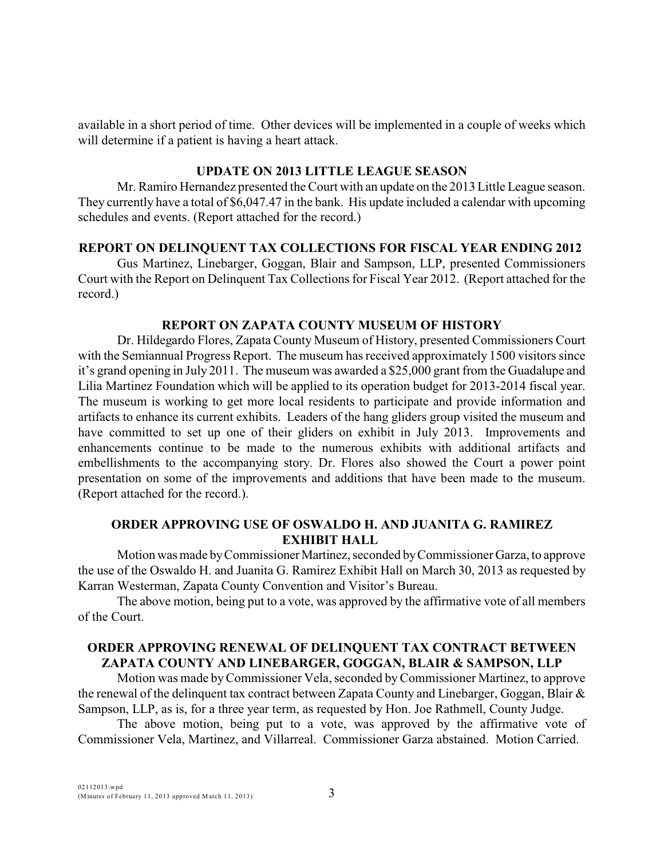available in a short period of time. Other devices will be implemented in a couple of weeks which will determine if a patient is having a heart attack.

### **UPDATE ON 2013 LITTLE LEAGUE SEASON**

Mr. Ramiro Hernandez presented the Court with an update on the 2013 Little League season. They currently have a total of \$6,047.47 in the bank. His update included a calendar with upcoming schedules and events. (Report attached for the record.)

### **REPORT ON DELINQUENT TAX COLLECTIONS FOR FISCAL YEAR ENDING 2012**

Gus Martinez, Linebarger, Goggan, Blair and Sampson, LLP, presented Commissioners Court with the Report on Delinquent Tax Collections for Fiscal Year 2012. (Report attached for the record.)

### **REPORT ON ZAPATA COUNTY MUSEUM OF HISTORY**

Dr. Hildegardo Flores, Zapata County Museum of History, presented Commissioners Court with the Semiannual Progress Report. The museum has received approximately 1500 visitors since it's grand opening in July 2011. The museum was awarded a \$25,000 grant from the Guadalupe and Lilia Martinez Foundation which will be applied to its operation budget for 2013-2014 fiscal year. The museum is working to get more local residents to participate and provide information and artifacts to enhance its current exhibits. Leaders of the hang gliders group visited the museum and have committed to set up one of their gliders on exhibit in July 2013. Improvements and enhancements continue to be made to the numerous exhibits with additional artifacts and embellishments to the accompanying story. Dr. Flores also showed the Court a power point presentation on some of the improvements and additions that have been made to the museum. (Report attached for the record.).

### **ORDER APPROVING USE OF OSWALDO H. AND JUANITA G. RAMIREZ EXHIBIT HALL**

Motion was made by Commissioner Martinez, seconded by Commissioner Garza, to approve the use of the Oswaldo H. and Juanita G. Ramirez Exhibit Hall on March 30, 2013 as requested by Karran Westerman, Zapata County Convention and Visitor's Bureau.

The above motion, being put to a vote, was approved by the affirmative vote of all members of the Court.

# **ORDER APPROVING RENEWAL OF DELINQUENT TAX CONTRACT BETWEEN ZAPATA COUNTY AND LINEBARGER, GOGGAN, BLAIR & SAMPSON, LLP**

Motion was made byCommissioner Vela, seconded by Commissioner Martinez, to approve the renewal of the delinquent tax contract between Zapata County and Linebarger, Goggan, Blair & Sampson, LLP, as is, for a three year term, as requested by Hon. Joe Rathmell, County Judge.

The above motion, being put to a vote, was approved by the affirmative vote of Commissioner Vela, Martinez, and Villarreal. Commissioner Garza abstained. Motion Carried.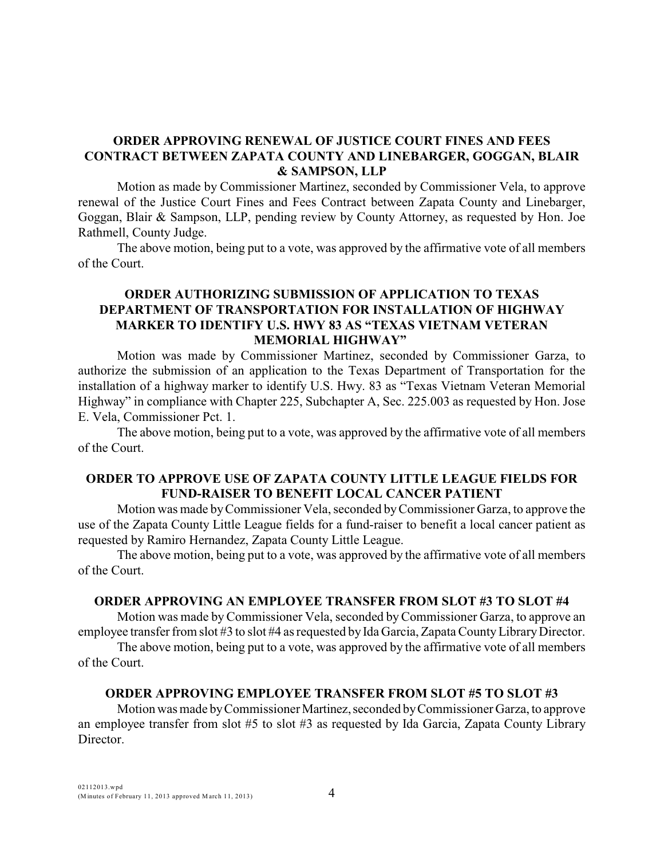# **ORDER APPROVING RENEWAL OF JUSTICE COURT FINES AND FEES CONTRACT BETWEEN ZAPATA COUNTY AND LINEBARGER, GOGGAN, BLAIR & SAMPSON, LLP**

Motion as made by Commissioner Martinez, seconded by Commissioner Vela, to approve renewal of the Justice Court Fines and Fees Contract between Zapata County and Linebarger, Goggan, Blair & Sampson, LLP, pending review by County Attorney, as requested by Hon. Joe Rathmell, County Judge.

The above motion, being put to a vote, was approved by the affirmative vote of all members of the Court.

# **ORDER AUTHORIZING SUBMISSION OF APPLICATION TO TEXAS DEPARTMENT OF TRANSPORTATION FOR INSTALLATION OF HIGHWAY MARKER TO IDENTIFY U.S. HWY 83 AS "TEXAS VIETNAM VETERAN MEMORIAL HIGHWAY"**

Motion was made by Commissioner Martinez, seconded by Commissioner Garza, to authorize the submission of an application to the Texas Department of Transportation for the installation of a highway marker to identify U.S. Hwy. 83 as "Texas Vietnam Veteran Memorial Highway" in compliance with Chapter 225, Subchapter A, Sec. 225.003 as requested by Hon. Jose E. Vela, Commissioner Pct. 1.

The above motion, being put to a vote, was approved by the affirmative vote of all members of the Court.

## **ORDER TO APPROVE USE OF ZAPATA COUNTY LITTLE LEAGUE FIELDS FOR FUND-RAISER TO BENEFIT LOCAL CANCER PATIENT**

Motion was made by Commissioner Vela, seconded by Commissioner Garza, to approve the use of the Zapata County Little League fields for a fund-raiser to benefit a local cancer patient as requested by Ramiro Hernandez, Zapata County Little League.

The above motion, being put to a vote, was approved by the affirmative vote of all members of the Court.

#### **ORDER APPROVING AN EMPLOYEE TRANSFER FROM SLOT #3 TO SLOT #4**

Motion was made by Commissioner Vela, seconded by Commissioner Garza, to approve an employee transfer from slot #3 to slot #4 as requested by Ida Garcia, Zapata County Library Director.

The above motion, being put to a vote, was approved by the affirmative vote of all members of the Court.

#### **ORDER APPROVING EMPLOYEE TRANSFER FROM SLOT #5 TO SLOT #3**

Motion was made by Commissioner Martinez, seconded by Commissioner Garza, to approve an employee transfer from slot #5 to slot #3 as requested by Ida Garcia, Zapata County Library Director.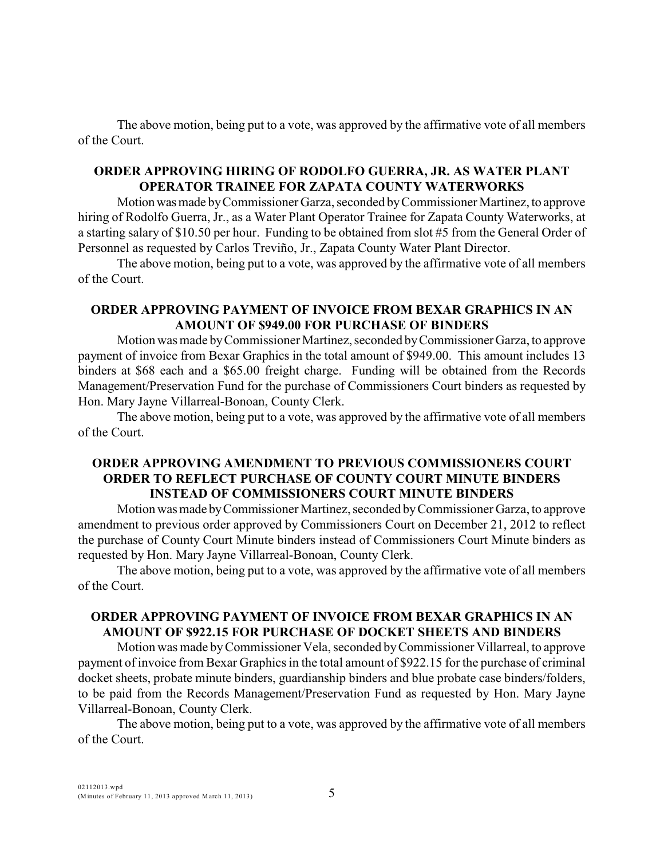The above motion, being put to a vote, was approved by the affirmative vote of all members of the Court.

# **ORDER APPROVING HIRING OF RODOLFO GUERRA, JR. AS WATER PLANT OPERATOR TRAINEE FOR ZAPATA COUNTY WATERWORKS**

Motion was made by Commissioner Garza, seconded by Commissioner Martinez, to approve hiring of Rodolfo Guerra, Jr., as a Water Plant Operator Trainee for Zapata County Waterworks, at a starting salary of \$10.50 per hour. Funding to be obtained from slot #5 from the General Order of Personnel as requested by Carlos Treviño, Jr., Zapata County Water Plant Director.

The above motion, being put to a vote, was approved by the affirmative vote of all members of the Court.

# **ORDER APPROVING PAYMENT OF INVOICE FROM BEXAR GRAPHICS IN AN AMOUNT OF \$949.00 FOR PURCHASE OF BINDERS**

Motion was made by Commissioner Martinez, seconded by Commissioner Garza, to approve payment of invoice from Bexar Graphics in the total amount of \$949.00. This amount includes 13 binders at \$68 each and a \$65.00 freight charge. Funding will be obtained from the Records Management/Preservation Fund for the purchase of Commissioners Court binders as requested by Hon. Mary Jayne Villarreal-Bonoan, County Clerk.

The above motion, being put to a vote, was approved by the affirmative vote of all members of the Court.

# **ORDER APPROVING AMENDMENT TO PREVIOUS COMMISSIONERS COURT ORDER TO REFLECT PURCHASE OF COUNTY COURT MINUTE BINDERS INSTEAD OF COMMISSIONERS COURT MINUTE BINDERS**

Motion was made by Commissioner Martinez, seconded by Commissioner Garza, to approve amendment to previous order approved by Commissioners Court on December 21, 2012 to reflect the purchase of County Court Minute binders instead of Commissioners Court Minute binders as requested by Hon. Mary Jayne Villarreal-Bonoan, County Clerk.

The above motion, being put to a vote, was approved by the affirmative vote of all members of the Court.

# **ORDER APPROVING PAYMENT OF INVOICE FROM BEXAR GRAPHICS IN AN AMOUNT OF \$922.15 FOR PURCHASE OF DOCKET SHEETS AND BINDERS**

Motion was made byCommissioner Vela, seconded by Commissioner Villarreal, to approve payment of invoice from Bexar Graphics in the total amount of \$922.15 for the purchase of criminal docket sheets, probate minute binders, guardianship binders and blue probate case binders/folders, to be paid from the Records Management/Preservation Fund as requested by Hon. Mary Jayne Villarreal-Bonoan, County Clerk.

The above motion, being put to a vote, was approved by the affirmative vote of all members of the Court.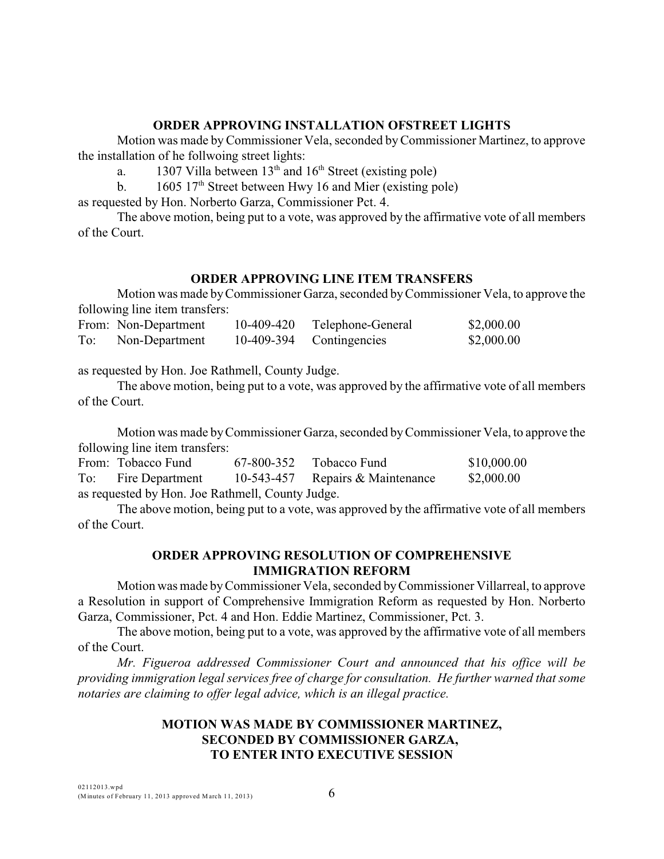# **ORDER APPROVING INSTALLATION OFSTREET LIGHTS**

Motion was made byCommissioner Vela, seconded by Commissioner Martinez, to approve the installation of he follwoing street lights:

a. 1307 Villa between  $13<sup>th</sup>$  and  $16<sup>th</sup>$  Street (existing pole)

b.  $1605 \frac{17^{\text{th}}}{\text{Street between Hwy 16 and Mier (existing pole)}}$ 

as requested by Hon. Norberto Garza, Commissioner Pct. 4.

The above motion, being put to a vote, was approved by the affirmative vote of all members of the Court.

# **ORDER APPROVING LINE ITEM TRANSFERS**

Motion was made by Commissioner Garza, seconded by Commissioner Vela, to approve the following line item transfers:

|     | From: Non-Department | 10-409-420 | Telephone-General        | \$2,000.00 |
|-----|----------------------|------------|--------------------------|------------|
| To: | Non-Department       |            | 10-409-394 Contingencies | \$2,000.00 |

as requested by Hon. Joe Rathmell, County Judge.

The above motion, being put to a vote, was approved by the affirmative vote of all members of the Court.

Motion was made by Commissioner Garza, seconded by Commissioner Vela, to approve the following line item transfers:

|                                                  | From: Tobacco Fund  |  | $67-800-352$ Tobacco Fund        | \$10,000.00 |  |  |  |  |
|--------------------------------------------------|---------------------|--|----------------------------------|-------------|--|--|--|--|
|                                                  | To: Fire Department |  | 10-543-457 Repairs & Maintenance | \$2,000.00  |  |  |  |  |
| as requested by Hon. Joe Rathmell, County Judge. |                     |  |                                  |             |  |  |  |  |

The above motion, being put to a vote, was approved by the affirmative vote of all members of the Court.

# **ORDER APPROVING RESOLUTION OF COMPREHENSIVE IMMIGRATION REFORM**

Motion was made byCommissioner Vela, seconded byCommissioner Villarreal, to approve a Resolution in support of Comprehensive Immigration Reform as requested by Hon. Norberto Garza, Commissioner, Pct. 4 and Hon. Eddie Martinez, Commissioner, Pct. 3.

The above motion, being put to a vote, was approved by the affirmative vote of all members of the Court.

*Mr. Figueroa addressed Commissioner Court and announced that his office will be providing immigration legal services free of charge for consultation. He further warned that some notaries are claiming to offer legal advice, which is an illegal practice.*

# **MOTION WAS MADE BY COMMISSIONER MARTINEZ, SECONDED BY COMMISSIONER GARZA, TO ENTER INTO EXECUTIVE SESSION**